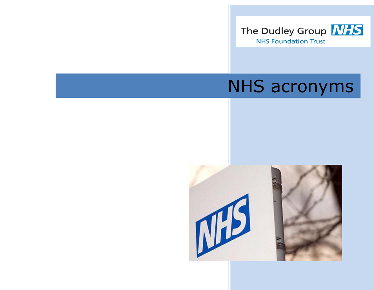

# NHS acronyms

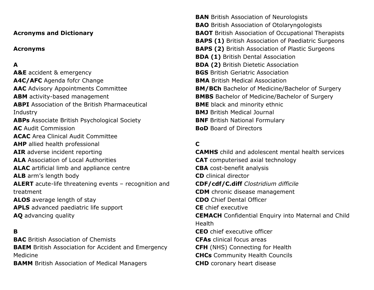## **Acronyms and Dictionary**

## **Acronyms**

# **A**

**A&E** accident & emergency **A4C/AFC** Agenda fofcr Change **AAC** Advisory Appointments Committee **ABM** activity-based management **ABPI** Association of the British Pharmaceutical Industry **ABPs** Associate British Psychological Society **AC** Audit Commission **ACAC** Area Clinical Audit Committee **AHP** allied health professional **AIR** adverse incident reporting **ALA** Association of Local Authorities **ALAC** artificial limb and appliance centre **ALB** arm's length body **ALERT** acute-life threatening events – recognition and treatment **ALOS** average length of stay **APLS** advanced paediatric life support **AQ** advancing quality

## **B**

**BAC** British Association of Chemists **BAEM** British Association for Accident and Emergency Medicine **BAMM** British Association of Medical Managers

**BAN** British Association of Neurologists **BAO** British Association of Otolaryngologists **BAOT** British Association of Occupational Therapists **BAPS (1)** British Association of Paediatric Surgeons **BAPS (2)** British Association of Plastic Surgeons **BDA (1)** British Dental Association **BDA (2)** British Dietetic Association **BGS** British Geriatric Association **BMA** British Medical Association **BM/BCh** Bachelor of Medicine/Bachelor of Surgery **BMBS** Bachelor of Medicine/Bachelor of Surgery **BME** black and minority ethnic **BMJ** British Medical Journal **BNF** British National Formulary **BoD** Board of Directors

# **C**

**CAMHS** child and adolescent mental health services **CAT** computerised axial technology **CBA** cost-benefit analysis **CD** clinical director **CDF/cdf/C.diff** *Clostridium difficile* **CDM** chronic disease management **CDO** Chief Dental Officer **CE** chief executive **CEMACH** Confidential Enquiry into Maternal and Child Health **CEO** chief executive officer **CFAs** clinical focus areas **CFH** (NHS) Connecting for Health **CHCs** Community Health Councils **CHD** coronary heart disease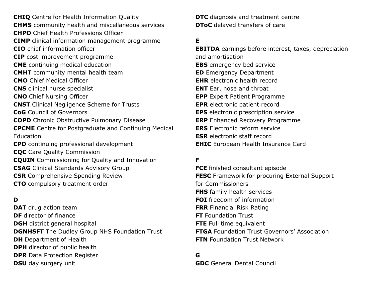**CHIQ** Centre for Health Information Quality **CHMS** community health and miscellaneous services **CHPO** Chief Health Professions Officer **CIMP** clinical information management programme **CIO** chief information officer **CIP** cost improvement programme **CME** continuing medical education **CMHT** community mental health team **CMO** Chief Medical Officer **CNS** clinical nurse specialist **CNO** Chief Nursing Officer **CNST** Clinical Negligence Scheme for Trusts **CoG** Council of Governors **COPD** Chronic Obstructive Pulmonary Disease **CPCME** Centre for Postgraduate and Continuing Medical Education **CPD** continuing professional development **CQC** Care Quality Commission **CQUIN** Commissioning for Quality and Innovation **CSAG** Clinical Standards Advisory Group **CSR** Comprehensive Spending Review **CTO** compulsory treatment order

## **D**

**DAT** drug action team **DF** director of finance **DGH** district general hospital **DGNHSFT** The Dudley Group NHS Foundation Trust **DH** Department of Health **DPH** director of public health **DPR** Data Protection Register **DSU** day surgery unit

**DTC** diagnosis and treatment centre **DToC** delayed transfers of care

## **E**

**EBITDA** earnings before interest, taxes, depreciation and amortisation **EBS** emergency bed service **ED** Emergency Department **EHR** electronic health record **ENT** Ear, nose and throat **EPP** Expert Patient Programme **EPR** electronic patient record **EPS** electronic prescription service **ERP** Enhanced Recovery Programme **ERS** Electronic reform service **ESR** electronic staff record **EHIC** European Health Insurance Card

# **F**

**FCE** finished consultant episode **FESC** Framework for procuring External Support for Commissioners **FHS** family health services **FOI** freedom of information **FRR** Financial Risk Rating **FT** Foundation Trust **FTE** Full time equivalent **FTGA** Foundation Trust Governors' Association **FTN** Foundation Trust Network

#### **G**

**GDC** General Dental Council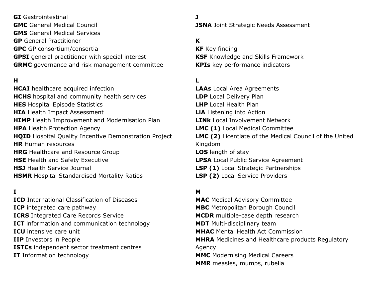**GI** Gastrointestinal **GMC** General Medical Council **GMS** General Medical Services **GP** General Practitioner **GPC** GP consortium/consortia **GPSI** general practitioner with special interest **GRMC** governance and risk management committee

## **H**

**HCAI** healthcare acquired infection **HCHS** hospital and community health services **HES** Hospital Episode Statistics **HIA** Health Impact Assessment **HIMP** Health Improvement and Modernisation Plan **HPA** Health Protection Agency **HQID** Hospital Quality Incentive Demonstration Project **HR** Human resources **HRG** Healthcare and Resource Group **HSE** Health and Safety Executive **HSJ** Health Service Journal **HSMR** Hospital Standardised Mortality Ratios

## **I**

**ICD** International Classification of Diseases **ICP** integrated care pathway **ICRS** Integrated Care Records Service **ICT** information and communication technology **ICU** intensive care unit **IIP** Investors in People **ISTCs** independent sector treatment centres **IT** Information technology

**J JSNA** Joint Strategic Needs Assessment

## **K**

**KF** Key finding **KSF** Knowledge and Skills Framework **KPIs** key performance indicators

## **L**

**LAAs** Local Area Agreements **LDP** Local Delivery Plan **LHP** Local Health Plan **LiA** Listening into Action **LINk** Local Involvement Network **LMC (1)** Local Medical Committee **LMC (2)** Licentiate of the Medical Council of the United Kingdom **LOS** length of stay **LPSA** Local Public Service Agreement **LSP (1)** Local Strategic Partnerships **LSP (2)** Local Service Providers

## **M**

**MAC** Medical Advisory Committee **MBC** Metropolitan Borough Council **MCDR** multiple-case depth research **MDT** Multi-disciplinary team **MHAC** Mental Health Act Commission **MHRA** Medicines and Healthcare products Regulatory Agency **MMC** Modernising Medical Careers **MMR** measles, mumps, rubella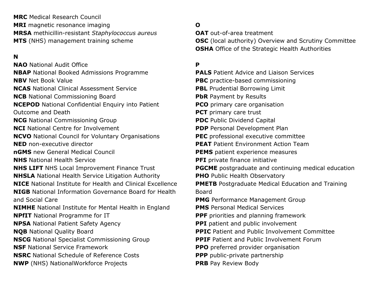**MRC** Medical Research Council **MRI** magnetic resonance imaging **MRSA** methicillin-resistant *Staphylococcus aureus* **MTS** (NHS) management training scheme

# **N**

**NAO** National Audit Office **NBAP** National Booked Admissions Programme **NBV** Net Book Value **NCAS** National Clinical Assessment Service **NCB** National Commissioning Board **NCEPOD** National Confidential Enquiry into Patient Outcome and Death **NCG** National Commissioning Group **NCI** National Centre for Involvement **NCVO** National Council for Voluntary Organisations **NED** non-executive director **nGMS** new General Medical Council **NHS** National Health Service **NHS LIFT** NHS Local Improvement Finance Trust **NHSLA** National Health Service Litigation Authority **NICE** National Institute for Health and Clinical Excellence **NIGB** National Information Governance Board for Health and Social Care **NIMHE** National Institute for Mental Health in England **NPfIT** National Programme for IT **NPSA** National Patient Safety Agency **NQB** National Quality Board **NSCG** National Specialist Commissioning Group **NSF** National Service Framework **NSRC** National Schedule of Reference Costs **NWP** (NHS) NationalWorkforce Projects

# **O**

**OAT** out-of-area treatment **OSC** (local authority) Overview and Scrutiny Committee **OSHA** Office of the Strategic Health Authorities

## **P**

**PALS** Patient Advice and Liaison Services **PBC** practice-based commissioning **PBL** Prudential Borrowing Limit **PbR** Payment by Results **PCO** primary care organisation **PCT** primary care trust **PDC** Public Dividend Capital **PDP** Personal Development Plan **PEC** professional executive committee **PEAT** Patient Environment Action Team **PEMS** patient experience measures **PFI** private finance initiative **PGCME** postgraduate and continuing medical education **PHO** Public Health Observatory **PMETB** Postgraduate Medical Education and Training Board **PMG** Performance Management Group **PMS** Personal Medical Services **PPF** priorities and planning framework **PPI** patient and public involvement **PPIC** Patient and Public Involvement Committee **PPIF** Patient and Public Involvement Forum **PPO** preferred provider organisation **PPP** public-private partnership **PRB** Pay Review Body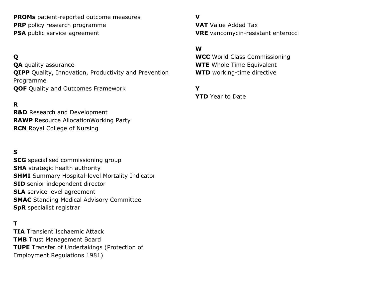**PROMs** patient-reported outcome measures **PRP** policy research programme **PSA** public service agreement

# **Q**

**QA** quality assurance **QIPP** Quality, Innovation, Productivity and Prevention Programme **QOF** Quality and Outcomes Framework

## **R**

**R&D** Research and Development **RAWP** Resource AllocationWorking Party **RCN** Royal College of Nursing

## **S**

**SCG** specialised commissioning group **SHA** strategic health authority **SHMI** Summary Hospital-level Mortality Indicator **SID** senior independent director **SLA** service level agreement **SMAC** Standing Medical Advisory Committee **SpR** specialist registrar

## **T**

**TIA** Transient Ischaemic Attack **TMB** Trust Management Board **TUPE** Transfer of Undertakings (Protection of Employment Regulations 1981)

**V VAT** Value Added Tax **VRE** vancomycin-resistant enterocci

## **W**

**WCC** World Class Commissioning **WTE** Whole Time Equivalent **WTD** working-time directive

## **Y**

**YTD** Year to Date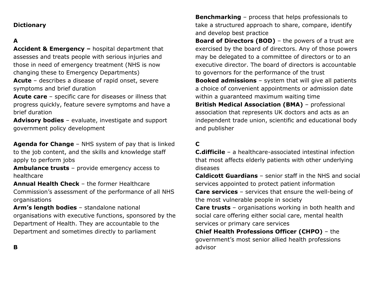# **Dictionary**

# **A**

**Accident & Emergency –** hospital department that assesses and treats people with serious injuries and those in need of emergency treatment (NHS is now changing these to Emergency Departments)

**Acute** – describes a disease of rapid onset, severe symptoms and brief duration

**Acute care** – specific care for diseases or illness that progress quickly, feature severe symptoms and have a brief duration

**Advisory bodies** – evaluate, investigate and support government policy development

**Agenda for Change** – NHS system of pay that is linked to the job content, and the skills and knowledge staff apply to perform jobs

**Ambulance trusts** – provide emergency access to healthcare

**Annual Health Check** – the former Healthcare Commission's assessment of the performance of all NHS organisations

**Arm's length bodies** – standalone national organisations with executive functions, sponsored by the Department of Health. They are accountable to the Department and sometimes directly to parliament

**Benchmarking** – process that helps professionals to take a structured approach to share, compare, identify and develop best practice

**Board of Directors (BOD)** – the powers of a trust are exercised by the board of directors. Any of those powers may be delegated to a committee of directors or to an executive director. The board of directors is accountable to governors for the performance of the trust

**Booked admissions** – system that will give all patients a choice of convenient appointments or admission date within a guaranteed maximum waiting time

**British Medical Association (BMA)** – professional association that represents UK doctors and acts as an independent trade union, scientific and educational body and publisher

# **C**

**C.difficile** – a healthcare-associated intestinal infection that most affects elderly patients with other underlying diseases

**Caldicott Guardians** – senior staff in the NHS and social services appointed to protect patient information

**Care services** – services that ensure the well-being of the most vulnerable people in society

**Care trusts** – organisations working in both health and social care offering either social care, mental health services or primary care services

**Chief Health Professions Officer (CHPO)** – the government's most senior allied health professions advisor

**B**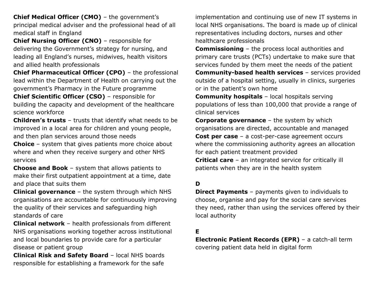**Chief Medical Officer (CMO)** – the government's principal medical adviser and the professional head of all medical staff in England

**Chief Nursing Officer (CNO)** – responsible for delivering the Government's strategy for nursing, and leading all England's nurses, midwives, health visitors and allied health professionals

**Chief Pharmaceutical Officer (CPO)** – the professional lead within the Department of Health on carrying out the government's Pharmacy in the Future programme

**Chief Scientific Officer (CSO)** – responsible for building the capacity and development of the healthcare science workforce

**Children's trusts** – trusts that identify what needs to be improved in a local area for children and young people, and then plan services around those needs

**Choice** – system that gives patients more choice about where and when they receive surgery and other NHS services

**Choose and Book** – system that allows patients to make their first outpatient appointment at a time, date and place that suits them

**Clinical governance** – the system through which NHS organisations are accountable for continuously improving the quality of their services and safeguarding high standards of care

**Clinical network** – health professionals from different NHS organisations working together across institutional and local boundaries to provide care for a particular disease or patient group

**Clinical Risk and Safety Board** – local NHS boards responsible for establishing a framework for the safe

implementation and continuing use of new IT systems in local NHS organisations. The board is made up of clinical representatives including doctors, nurses and other healthcare professionals

**Commissioning** – the process local authorities and primary care trusts (PCTs) undertake to make sure that services funded by them meet the needs of the patient **Community-based health services** – services provided outside of a hospital setting, usually in clinics, surgeries or in the patient's own home

**Community hospitals** – local hospitals serving populations of less than 100,000 that provide a range of clinical services

**Corporate governance** – the system by which organisations are directed, accountable and managed **Cost per case** – a cost-per-case agreement occurs where the commissioning authority agrees an allocation for each patient treatment provided

**Critical care** – an integrated service for critically ill patients when they are in the health system

# **D**

**Direct Payments** – payments given to individuals to choose, organise and pay for the social care services they need, rather than using the services offered by their local authority

## **E**

**Electronic Patient Records (EPR)** – a catch-all term covering patient data held in digital form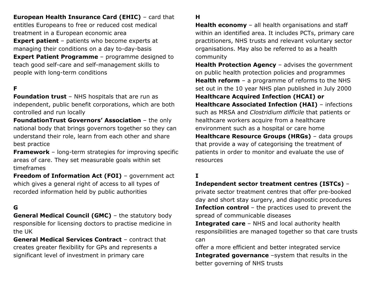**European Health Insurance Card (EHIC)** – card that entitles Europeans to free or reduced cost medical treatment in a European economic area **Expert patient** – patients who become experts at managing their conditions on a day to-day-basis **Expert Patient Programme** – programme designed to teach good self-care and self-management skills to people with long-term conditions

# **F**

**Foundation trust** – NHS hospitals that are run as independent, public benefit corporations, which are both controlled and run locally

**FoundationTrust Governors' Association** – the only national body that brings governors together so they can understand their role, learn from each other and share best practice

**Framework** – long-term strategies for improving specific areas of care. They set measurable goals within set timeframes

**Freedom of Information Act (FOI)** - government act which gives a general right of access to all types of recorded information held by public authorities

#### **G**

**General Medical Council (GMC)** - the statutory body responsible for licensing doctors to practise medicine in the UK

**General Medical Services Contract** – contract that creates greater flexibility for GPs and represents a significant level of investment in primary care

## **H**

**Health economy** – all health organisations and staff within an identified area. It includes PCTs, primary care practitioners, NHS trusts and relevant voluntary sector organisations. May also be referred to as a health community

**Health Protection Agency** – advises the government on public health protection policies and programmes **Health reform** – a programme of reforms to the NHS set out in the 10 year NHS plan published in July 2000 **Healthcare Acquired Infection (HCAI) or Healthcare Associated Infection (HAI)** – infections such as MRSA and *Clostridium difficile* that patients or healthcare workers acquire from a healthcare environment such as a hospital or care home **Healthcare Resource Groups (HRGs)** – data groups that provide a way of categorising the treatment of patients in order to monitor and evaluate the use of resources

## **I**

### **Independent sector treatment centres (ISTCs)** –

private sector treatment centres that offer pre-booked day and short stay surgery, and diagnostic procedures **Infection control** – the practices used to prevent the spread of communicable diseases

**Integrated care** – NHS and local authority health responsibilities are managed together so that care trusts can

offer a more efficient and better integrated service **Integrated governance** –system that results in the better governing of NHS trusts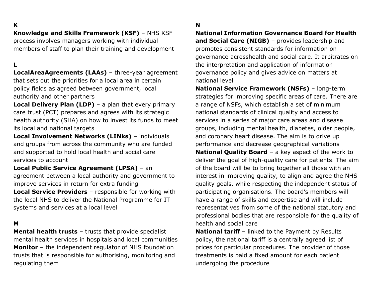## **K**

## **Knowledge and Skills Framework (KSF)** – NHS KSF

process involves managers working with individual members of staff to plan their training and development

## **L**

**LocalAreaAgreements (LAAs)** – three-year agreement that sets out the priorities for a local area in certain policy fields as agreed between government, local authority and other partners

**Local Delivery Plan (LDP)** – a plan that every primary care trust (PCT) prepares and agrees with its strategic health authority (SHA) on how to invest its funds to meet its local and national targets

**Local Involvement Networks (LINks)** – individuals and groups from across the community who are funded and supported to hold local health and social care services to account

**Local Public Service Agreement (LPSA)** – an agreement between a local authority and government to improve services in return for extra funding

**Local Service Providers** – responsible for working with the local NHS to deliver the National Programme for IT systems and services at a local level

#### **M**

**Mental health trusts** – trusts that provide specialist mental health services in hospitals and local communities **Monitor** – the independent regulator of NHS foundation trusts that is responsible for authorising, monitoring and regulating them

## **N**

**National Information Governance Board for Health and Social Care (NIGB)** – provides leadership and promotes consistent standards for information on governance acrosshealth and social care. It arbitrates on the interpretation and application of information governance policy and gives advice on matters at national level

**National Service Framework (NSFs)** – long-term strategies for improving specific areas of care. There are a range of NSFs, which establish a set of minimum national standards of clinical quality and access to services in a series of major care areas and disease groups, including mental health, diabetes, older people, and coronary heart disease. The aim is to drive up performance and decrease geographical variations **National Quality Board** – a key aspect of the work to deliver the goal of high-quality care for patients. The aim of the board will be to bring together all those with an interest in improving quality, to align and agree the NHS quality goals, while respecting the independent status of participating organisations. The board's members will have a range of skills and expertise and will include representatives from some of the national statutory and professional bodies that are responsible for the quality of health and social care

**National tariff** – linked to the Payment by Results policy, the national tariff is a centrally agreed list of prices for particular procedures. The provider of those treatments is paid a fixed amount for each patient undergoing the procedure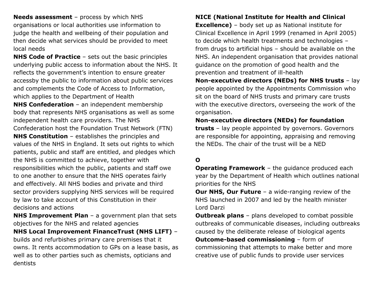**Needs assessment** – process by which NHS organisations or local authorities use information to judge the health and wellbeing of their population and then decide what services should be provided to meet local needs

**NHS Code of Practice** – sets out the basic principles underlying public access to information about the NHS. It reflects the government's intention to ensure greater accessby the public to information about public services and complements the Code of Access to Information, which applies to the Department of Health **NHS Confederation** – an independent membership body that represents NHS organisations as well as some independent health care providers. The NHS Confederation host the Foundation Trust Network (FTN) **NHS Constitution** – establishes the principles and values of the NHS in England. It sets out rights to which patients, public and staff are entitled, and pledges which the NHS is committed to achieve, together with responsibilities which the public, patients and staff owe to one another to ensure that the NHS operates fairly and effectively. All NHS bodies and private and third sector providers supplying NHS services will be required by law to take account of this Constitution in their decisions and actions

**NHS Improvement Plan** – a government plan that sets objectives for the NHS and related agencies

**NHS Local Improvement FinanceTrust (NHS LIFT)** – builds and refurbishes primary care premises that it owns. It rents accommodation to GPs on a lease basis, as well as to other parties such as chemists, opticians and dentists

# **NICE (National Institute for Health and Clinical**

**Excellence)** – body set up as National institute for Clinical Excellence in April 1999 (renamed in April 2005) to decide which health treatments and technologies – from drugs to artificial hips – should be available on the NHS. An independent organisation that provides national guidance on the promotion of good health and the prevention and treatment of ill-health

**Non-executive directors (NEDs) for NHS trusts** – lay people appointed by the Appointments Commission who sit on the board of NHS trusts and primary care trusts with the executive directors, overseeing the work of the organisation.

**Non-executive directors (NEDs) for foundation trusts** – lay people appointed by governors. Governors are responsible for appointing, appraising and removing the NEDs. The chair of the trust will be a NED

# **O**

**Operating Framework** – the quidance produced each year by the Department of Health which outlines national priorities for the NHS

**Our NHS, Our Future** – a wide-ranging review of the NHS launched in 2007 and led by the health minister Lord Darzi

**Outbreak plans** – plans developed to combat possible outbreaks of communicable diseases, including outbreaks caused by the deliberate release of biological agents **Outcome-based commissioning** – form of

commissioning that attempts to make better and more creative use of public funds to provide user services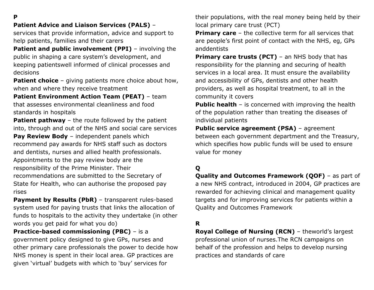**P**

# **Patient Advice and Liaison Services (PALS)** –

services that provide information, advice and support to help patients, families and their carers

**Patient and public involvement (PPI)** – involving the public in shaping a care system's development, and keeping patientswell informed of clinical processes and decisions

**Patient choice** – giving patients more choice about how, when and where they receive treatment

**Patient Environment Action Team (PEAT)** – team that assesses environmental cleanliness and food standards in hospitals

**Patient pathway** – the route followed by the patient into, through and out of the NHS and social care services **Pay Review Body** – independent panels which recommend pay awards for NHS staff such as doctors and dentists, nurses and allied health professionals. Appointments to the pay review body are the responsibility of the Prime Minister. Their recommendations are submitted to the Secretary of State for Health, who can authorise the proposed pay rises

**Payment by Results (PbR)** - transparent rules-based system used for paying trusts that links the allocation of funds to hospitals to the activity they undertake (in other words you get paid for what you do)

**Practice-based commissioning (PBC)** – is a government policy designed to give GPs, nurses and other primary care professionals the power to decide how NHS money is spent in their local area. GP practices are given 'virtual' budgets with which to 'buy' services for

their populations, with the real money being held by their local primary care trust (PCT)

**Primary care** – the collective term for all services that are people's first point of contact with the NHS, eg, GPs anddentists

**Primary care trusts (PCT)** – an NHS body that has responsibility for the planning and securing of health services in a local area. It must ensure the availability and accessibility of GPs, dentists and other health providers, as well as hospital treatment, to all in the community it covers

**Public health** – is concerned with improving the health of the population rather than treating the diseases of individual patients

**Public service agreement (PSA)** - agreement between each government department and the Treasury, which specifies how public funds will be used to ensure value for money

# **Q**

**Quality and Outcomes Framework (QOF)** – as part of a new NHS contract, introduced in 2004, GP practices are rewarded for achieving clinical and management quality targets and for improving services for patients within a Quality and Outcomes Framework

## **R**

**Royal College of Nursing (RCN)** – theworld's largest professional union of nurses.The RCN campaigns on behalf of the profession and helps to develop nursing practices and standards of care